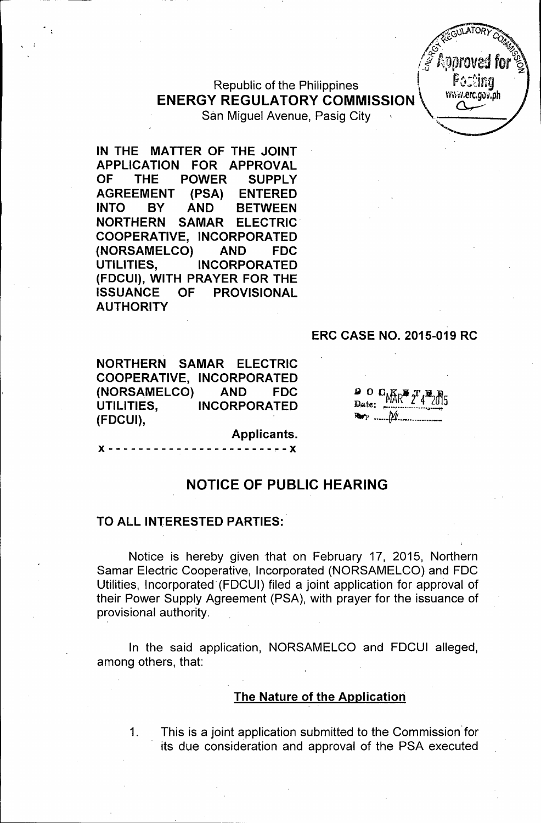Republic of the Philippines **The Past of the Philippines** (Faither of the Past of the Past of the Past of the P<br>International complete of the Williams of the Past of the Philippine of the Past of the Past of the Past of th **ENERGY REGULATORY COMMISSION** San Miguel Avenue, Pasig City



IN THE MATTER OF THE JOINT APPLICATION FOR APPROVAL OF THE POWER SUPPLY AGREEMENT (PSA) ENTERED INTO BY AND BETWEEN NORTHERN SAMAR ELECTRIC' COOPERATIVE, INCORPORATED (NORSAMELCO) AND FDC UTILITIES, INCORPORATED (FDCUI), WITH PRAYER FOR THE ISSUANCE OF PROVISIONAL **AUTHORITY** 

### ERC CASE NO. 2015-019 RC

NORTHERN SAMAR ELECTRIC COOPERATIVE, INCORPORATED (NORSAMELCO) AND FDC UTILITIES, INCORPORATED (FDCUI),

 $\bullet$  0  $C_{hKb}$   $\pi$  ,  $\pi$  ,  $\pi$ Date:  $\frac{NAK}{2}$  4 2015 *~, , fJ1i.. \_ \_-*

Applicants.

*x - - - - - - - - - - X* 

### NOTICE OF PUBLIC HEARING

#### TO ALL INTERESTED PARTIES:

Notice is hereby given that on February 17, 2015, Northern Samar Electric Cooperative, Incorporated (NORSAMELCO) and FOC Utilities, Incorporated' (FOCUI) filed a joint application for approval of their Power Supply Agreement (PSA), with prayer for the issuance of provisional authority.

In the said application, NORSAMELCO and FOCUI alleged, among others, that:

#### The Nature of the Application

1. This is a joint application submitted to the Commission' for its due consideration and approval of the PSA executed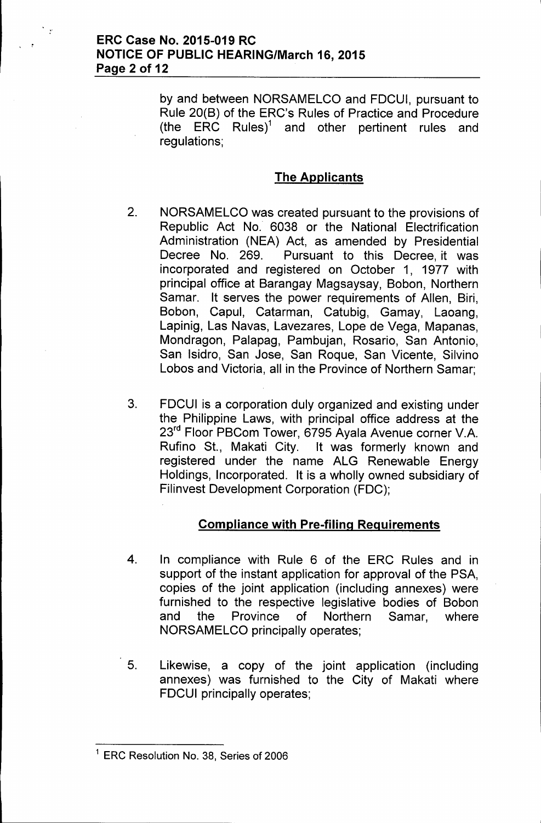### ERC Case No. 2015-019 RC NOTICE OF PUBLIC HEARING/March 16, 2015 Page 2 of 12

 $\frac{1}{2}$ 

by and between NORSAMELCO and FDCUI, pursuant to Rule 20(B) of the ERC's Rules of Practice and Procedure (the ERC Rules)<sup>1</sup> and other pertinent rules and regulations;

# The Applicants

- 2. NORSAMELCO was created pursuant to the provisions of Republic Act No. 6038 or the National Electrification Administration (NEA) Act, as amended by Presidential Decree No. 269. Pursuant to this Decree, it was incorporated and registered on October 1, 1977 with principal office at Barangay Magsaysay, Bobon, Northern Samar. It serves the power requirements of Allen, Biri, Bobon, Capul, Catarman, Catubig, Gamay, Laoang, Lapinig, Las Navas, Lavezares, Lope de Vega, Mapanas, Mondragon, Palapag, Pambujan, Rosario, San Antonio, San Isidro, San Jose, San Roque, San Vicente, Silvino Lobos and Victoria, all in the Province of Northern Samar;
- 3. FDCUI is a corporation duly organized and existing under the Philippine Laws, with principal office address at the 23<sup>rd</sup> Floor PBCom Tower, 6795 Ayala Avenue corner V.A. Rufino St., Makati City. It was formerly known and registered under the name ALG Renewable Energy Holdings, Incorporated. It is a wholly owned subsidiary of Filinvest Development Corporation (FDC);

## Compliance with Pre-filing Requirements

- 4. In compliance with Rule 6 of the ERC Rules and in support of the instant application for approval of the PSA, copies of the joint application (including annexes) were furnished to the respective legislative bodies of Bobon and the Province of Northern Samar, where NORSAMELCO principally operates;
- 5. Likewise, a copy of the joint application (including annexes) was furnished to the City of Makati where FDCUI principally operates;

<sup>&</sup>lt;sup>1</sup> ERC Resolution No. 38, Series of 2006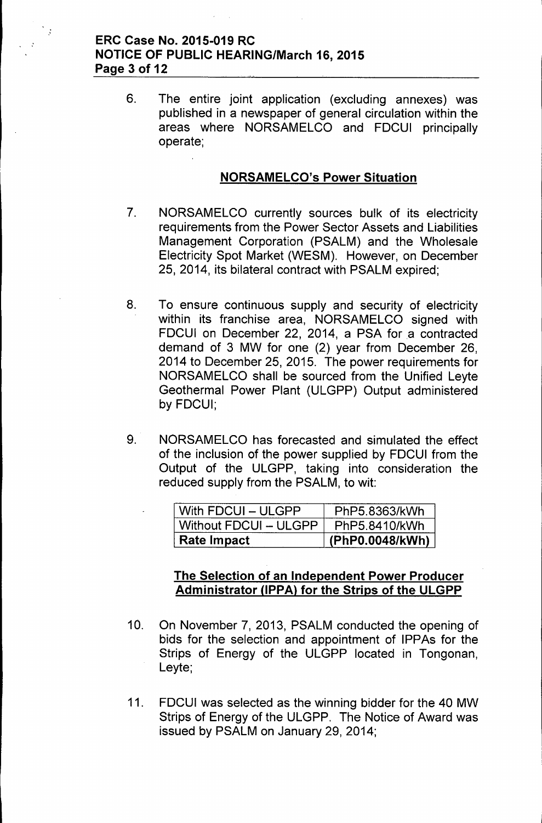### **ERC Case No. 2015-019 RC NOTICE OF PUBLIC HEARING/March 16,2015 Page 3 of 12**

 $\mathcal{L}$ 

6. The entire joint application (excluding annexes) was published in a newspaper of general circulation within the areas where NORSAMELCO and FDCUI principally operate;

### **NORSAMELCO's Power Situation**

- 7. NORSAMELCO currently sources bulk of its electricity requirements from the Power Sector Assets and Liabilities Management Corporation (PSALM) and the Wholesale Electricity Spot Market (WESM). However, on December 25, 2014, its bilateral contract with PSALM expired;
- 8. To ensure continuous supply and security of electricity within its franchise area, NORSAMELCO signed with FDCUI on December 22, 2014, a PSA for a contracted demand of 3 MW for one (2) year from December 26, 2014 to December 25,2015. The power requirements for NORSAMELCO shall be sourced from the Unified Leyte Geothermal Power Plant (ULGPP) Output administered by FDCUI;
- 9. NORSAMELCO has forecasted and simulated the effect of the inclusion of the power supplied by FDCUI from the Output of the ULGPP, taking into consideration the reduced supply from the PSALM, to wit:

| <b>Rate Impact</b>    | (PhP0.0048/kWh) |
|-----------------------|-----------------|
| Without FDCUI - ULGPP | PhP5.8410/kWh   |
| With FDCUI - ULGPP    | PhP5.8363/kWh   |

### **The Selection of an Independent Power Producer Administrator UPPAl for the Strips of the ULGPP**

- 10. On November 7, 2013, PSALM conducted the opening of bids for the selection and appointment of IPPAs for the Strips of Energy of the ULGPP located in Tongonan, Leyte;
- 11. FDCUI was selected as the winning bidder for the 40 MW Strips of Energy of the ULGPP. The Notice of Award was issued by PSALM on January 29, 2014;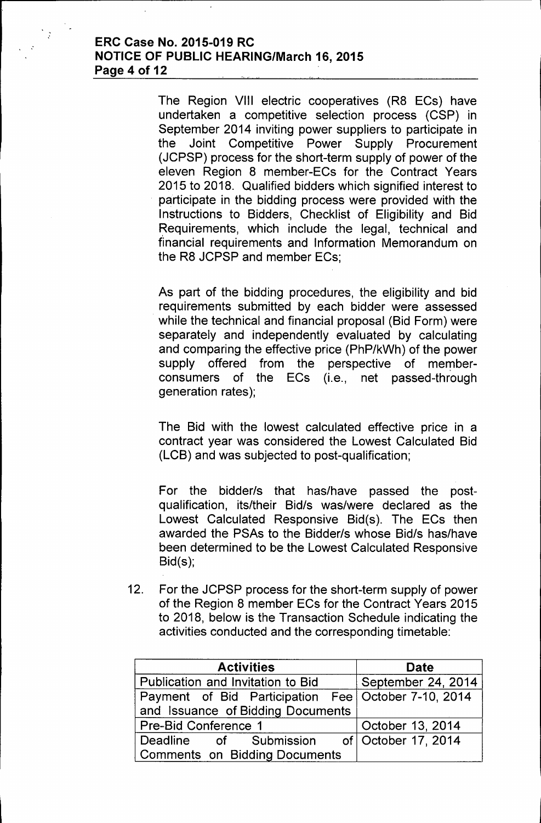#### **ERC Case No. 2015-019 RC NOTICE OF PUBLIC HEARING/March 16, 2015 Page 4 of 12**

 $\ddot{\cdot}$ 

The Region VIII electric cooperatives (R8 ECs) have undertaken a competitive selection process (CSP) in September 2014 inviting power suppliers to participate in the Joint Competitive Power Supply Procurement (JCPSP) process for the short-term supply of power of the eleven Region 8 member-ECs for the Contract Years 2015 to 2018. Qualified bidders which signified interest to participate in the bidding process were provided with the Instructions to Bidders, Checklist of Eligibility and Bid Requirements, which include the legal, technical and financial requirements and Information Memorandum on the R8 JCPSP and member ECs;

As part of the bidding procedures, the eligibility and bid requirements submitted by each bidder were assessed while the technical and financial proposal (Bid Form) were separately and independently evaluated by calculating and comparing the effective price (PhP/kWh) of the power supply offered from the perspective of memberconsumers of the ECs (i.e., net passed-through generation rates);

The Bid with the lowest calculated effective price in a contract year was considered the Lowest Calculated Bid (LCB) and was subjected to post-qualification;

For the bidder/s that has/have passed the postqualification, its/their Bid/s was/were declared as the Lowest Calculated Responsive Bid(s). The ECs then awarded the PSAs to the Bidder/s whose Bid/s has/have been determined to be the Lowest Calculated Responsive Bid(s);

12. For the JCPSP process for the short-term supply of power of the Region 8 member ECs for the Contract Years 2015 to 2018, below is the Transaction Schedule indicating the activities conducted and the corresponding timetable:

| <b>Activities</b>                                   | <b>Date</b>        |
|-----------------------------------------------------|--------------------|
| Publication and Invitation to Bid                   | September 24, 2014 |
| Payment of Bid Participation Fee October 7-10, 2014 |                    |
| and Issuance of Bidding Documents                   |                    |
| Pre-Bid Conference 1                                | October 13, 2014   |
| Deadline of Submission of October 17, 2014          |                    |
| <b>Comments on Bidding Documents</b>                |                    |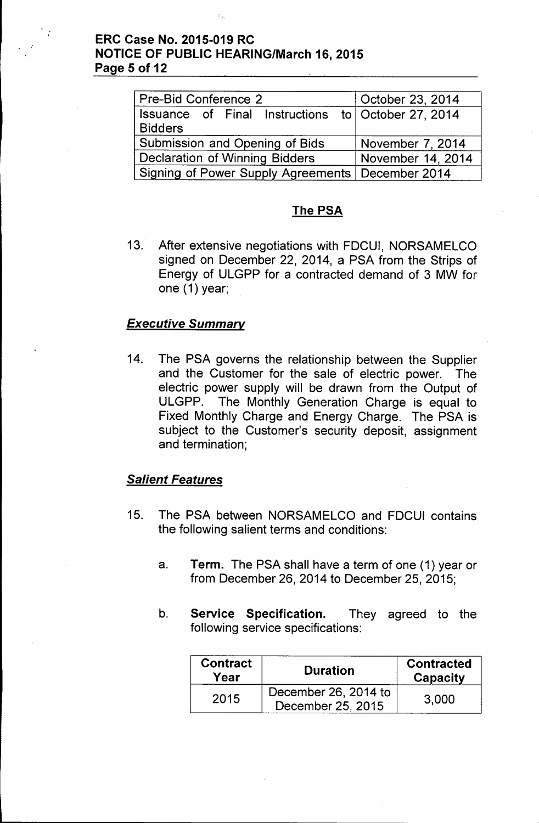### **ERC Case No. 2015-019 RC NOTICE OF PUBLIC HEARING/March 16, 2015 Page 5 of 12**

| Pre-Bid Conference 2                                                 | October 23, 2014  |
|----------------------------------------------------------------------|-------------------|
| Issuance of Final Instructions to October 27, 2014<br><b>Bidders</b> |                   |
| Submission and Opening of Bids                                       | November 7, 2014  |
| <b>Declaration of Winning Bidders</b>                                | November 14, 2014 |
| Signing of Power Supply Agreements   December 2014                   |                   |

### **The PSA**

13. After extensive negotiations with FDCUI, NORSAMELCO signed on December 22, 2014, a PSA from the Strips of Energy of ULGPP for a contracted demand of 3 MW for one (1) year;

### *Executive Summary*

14. The PSA governs the relationship between the Supplier and the Customer for the sale of electric power. The electric power supply will be drawn from the Output of ULGPP. The Monthly Generation Charge is equal to Fixed Monthly Charge and Energy Charge. The PSA is subject to the Customer's security deposit, assignment and termination;

### *Salient Features*

- 15. The PSA between NORSAMELCO and FDCUI contains the following salient terms and conditions:
	- a. **Term.** The PSA shall have a term of one (1) year or from December 26, 2014 to December 25, 2015;
	- b. **Service Specification.** They agreed to the following service specifications:

| <b>Contract</b><br>Year | <b>Duration</b>                           | <b>Contracted</b><br>Capacity |
|-------------------------|-------------------------------------------|-------------------------------|
| 2015                    | December 26, 2014 to<br>December 25, 2015 | 3,000                         |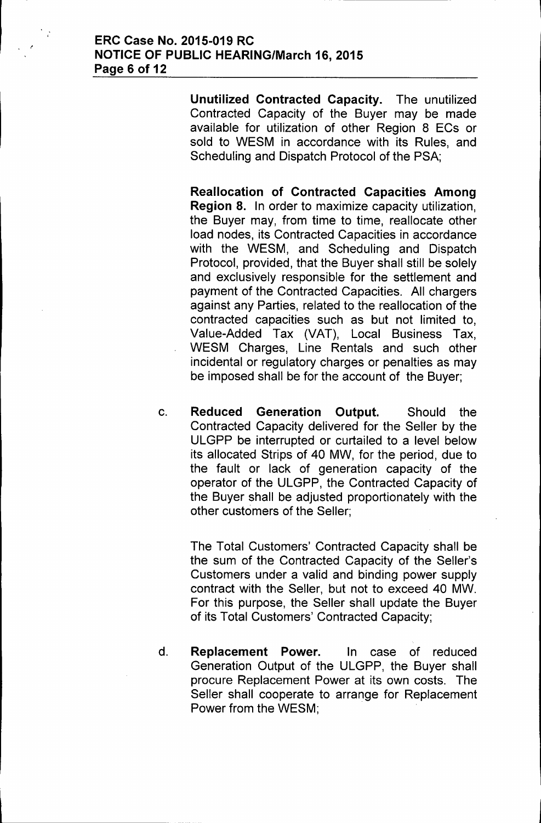Unutilized Contracted Capacity. The unutilized Contracted Capacity of the Buyer may be made available for utilization of other Region 8 ECs or sold to WESM in accordance with its Rules, and Scheduling and Dispatch Protocol of the PSA;

Reallocation of Contracted Capacities Among Region 8. In order to maximize capacity utilization, the Buyer may, from time to time, reallocate other load nodes, its Contracted Capacities in accordance with the WESM, and Scheduling and Dispatch Protocol, provided, that the Buyer shall still be solely and exclusively responsible for the settlement and payment of the Contracted Capacities. All chargers against any Parties, related to the reallocation of the contracted capacities such as but not limited to, Value-Added Tax (VAT), Local Business Tax, WESM Charges, Line Rentals and such other incidental or regulatory charges or penalties as may be imposed shall be for the account of the Buyer;

c. Reduced Generation Output. Should the Contracted Capacity delivered for the Seller by the ULGPP be interrupted or curtailed to a level below its allocated Strips of 40 MW, for the period, due to the fault or lack of generation capacity of the operator of the ULGPP, the Contracted Capacity of the Buyer shall be adjusted proportionately with the other customers of the Seller;

The Total Customers' Contracted Capacity shall be the sum of the Contracted Capacity of the Seller's Customers under a valid and binding power supply contract with the Seller, but not to exceed 40 MW. For this purpose, the Seller shall update the Buyer of its Total Customers' Contracted Capacity;

d. Replacement Power. In case of reduced Generation Output of the ULGPP, the Buyer shall procure Replacement Power at its own costs. The Seller shall cooperate to arrange for Replacement Power from the WESM;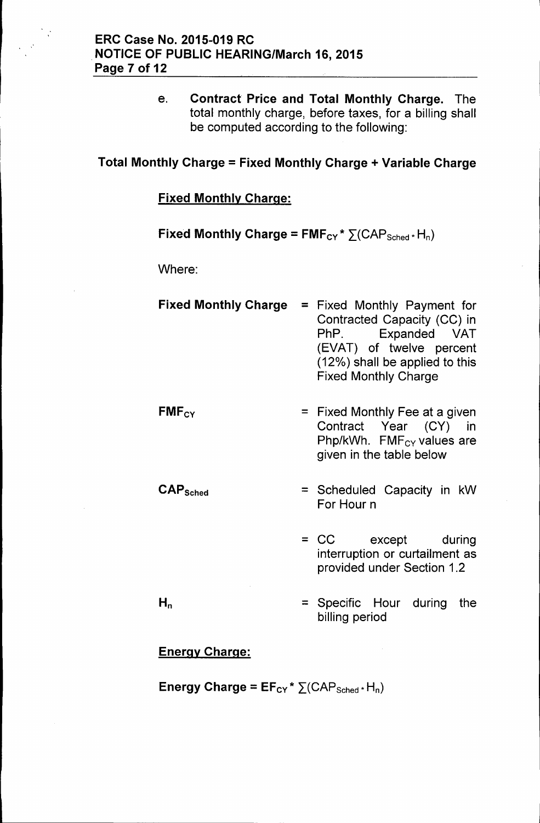e. Contract Price and Total Monthly Charge. The total monthly charge, before taxes, for a billing shall be computed according to the following:

# Total Monthly Charge = Fixed Monthly Charge + Variable Charge

### Fixed Monthly Charge:

# Fixed Monthly Charge =  $FMF_{CY} * \sum (CAP_{Sched} * H_n)$

Where:

| <b>Fixed Monthly Charge</b>     | = Fixed Monthly Payment for<br>Contracted Capacity (CC) in<br>PhP. Expanded VAT<br>(EVAT) of twelve percent<br>(12%) shall be applied to this<br><b>Fixed Monthly Charge</b> |
|---------------------------------|------------------------------------------------------------------------------------------------------------------------------------------------------------------------------|
| $FMF_{CY}$                      | = Fixed Monthly Fee at a given<br>Contract Year (CY)<br>in in<br>Php/kWh. $FMF_{CY}$ values are<br>given in the table below                                                  |
| $\mathsf{CAP}_{\mathsf{Sched}}$ | = Scheduled Capacity in kW<br>For Hour n                                                                                                                                     |
|                                 | = CC except during<br>interruption or curtailment as<br>provided under Section 1.2                                                                                           |

 $H_n$ 

= Specific Hour during the billing period

## Energy Charge:

Energy Charge =  $EF_{CY}$ \*  $\Sigma$ (CAP<sub>Sched</sub>\* H<sub>n</sub>)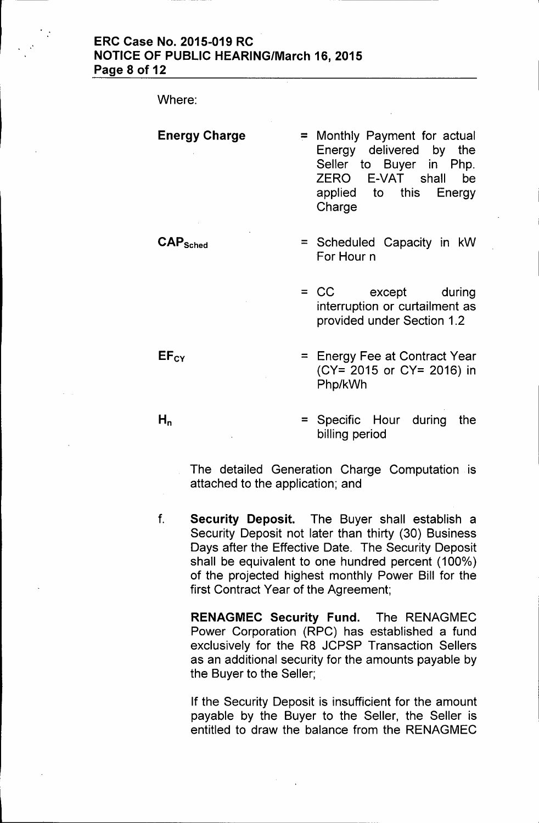Where:

CAPSched

#### Energy Charge = Monthly Payment for actual Energy delivered by the Seller to Buyer in Php. ZERO E-VAT shall be applied to this Energy Charge

- $=$  Scheduled Capacity in  $kW$ For Hour n
- = CC except during interruption or curtailment as provided under Section 1.2
- = Energy Fee at Contract Year (CY= 2015 or CY= 2016) in Php/kWh
- = Specific Hour during the billing period

The detailed Generation Charge Computation is attached to the application; and

f. Security Deposit. The Buyer shall establish a Security Deposit not later than thirty (30) Business Days after the Effective Date. The Security Deposit shall be equivalent to one hundred percent (100%) of the projected highest monthly Power Bill for the first Contract Year of the Agreement;

RENAGMEC Security Fund. The RENAGMEC Power Corporation (RPC) has established a fund exclusively for the R8 JCPSP Transaction Sellers as an additional security for the amounts payable by the Buyer to the Seller;

If the Security Deposit is insufficient for the amount payable by the Buyer to the Seller, the Seller is entitled to draw the balance from the RENAGMEC

 $EF<sub>CY</sub>$ 

 $H_n$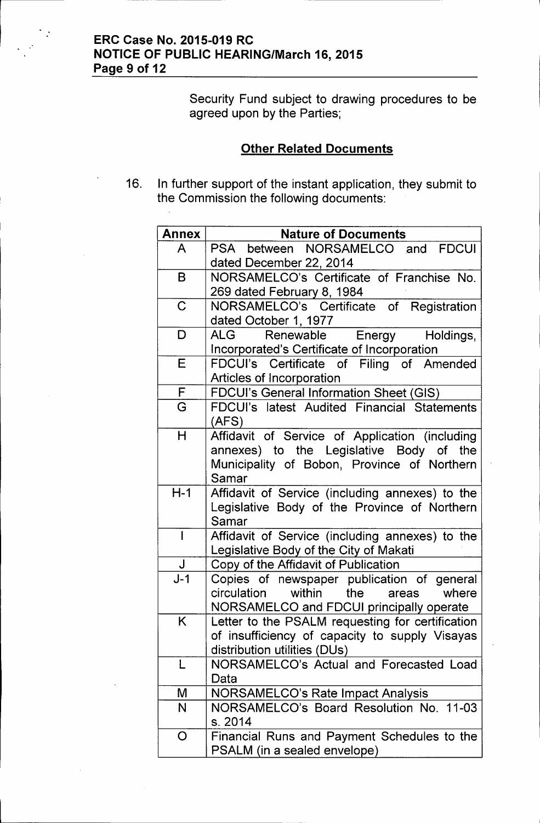## ERC Case No. 2015-019 RC NOTICE OF PUBLIC HEARING/March 16, 2015 Page 9 of 12

 $\ddot{\cdot}$ 

Security Fund subject to drawing procedures to be agreed upon by the Parties;

## **Other Related Documents**

16. In further support of the instant application, they submit to the Commission the following documents:

| <b>Annex</b>   | <b>Nature of Documents</b>                       |
|----------------|--------------------------------------------------|
| A              | PSA between NORSAMELCO and FDCUI                 |
|                | dated December 22, 2014                          |
| B              | NORSAMELCO's Certificate of Franchise No.        |
|                | 269 dated February 8, 1984                       |
| $\mathbf C$    | NORSAMELCO's Certificate of Registration         |
|                | dated October 1, 1977                            |
| D              | Holdings,<br>ALG<br>Renewable Energy             |
|                | Incorporated's Certificate of Incorporation      |
| E              | FDCUI's Certificate of Filing of Amended         |
|                | Articles of Incorporation                        |
| F              | FDCUI's General Information Sheet (GIS)          |
| G              | FDCUI's latest Audited Financial Statements      |
|                | (AFS)                                            |
| H              | Affidavit of Service of Application (including   |
|                | annexes) to the Legislative Body of the          |
|                | Municipality of Bobon, Province of Northern      |
|                | Samar                                            |
| $H-1$          | Affidavit of Service (including annexes) to the  |
|                | Legislative Body of the Province of Northern     |
|                | Samar                                            |
| $\overline{1}$ | Affidavit of Service (including annexes) to the  |
|                | Legislative Body of the City of Makati           |
| $\bigcup$      | Copy of the Affidavit of Publication             |
| $J-1$          | Copies of newspaper publication of general       |
|                | circulation within the<br>where<br>areas         |
|                | NORSAMELCO and FDCUI principally operate         |
| Κ              | Letter to the PSALM requesting for certification |
|                | of insufficiency of capacity to supply Visayas   |
|                | distribution utilities (DUs)                     |
| L              | NORSAMELCO's Actual and Forecasted Load          |
|                | Data                                             |
| M              | <b>NORSAMELCO's Rate Impact Analysis</b>         |
| N              | NORSAMELCO's Board Resolution No. 11-03          |
|                | s. 2014                                          |
| O              | Financial Runs and Payment Schedules to the      |
|                | PSALM (in a sealed envelope)                     |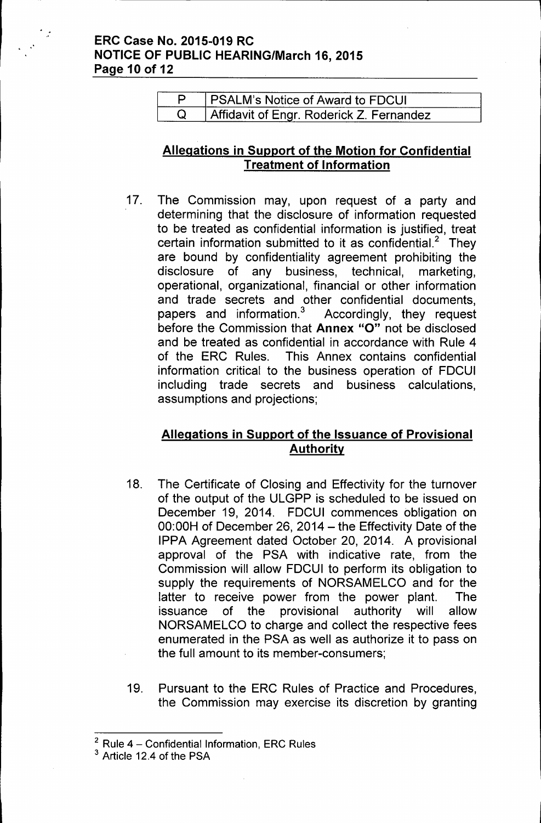### .' **ERC Case No. 2015-019 RC NOTICE OF PUBLIC HEARING/March 16, 2015 Page 10 of 12**

| <b>PSALM's Notice of Award to FDCUI</b>  |
|------------------------------------------|
| Affidavit of Engr. Roderick Z. Fernandez |

## **Allegations in Support of the Motion for Confidential Treatment of Information**

17. The Commission may, upon request of a party and determining that the disclosure of information requested to be treated as confidential information is justified, treat certain information submitted to it as confidential.<sup>2</sup> They are bound by confidentiality agreement prohibiting the disclosure of any business, technical, marketing, operational, organizational, financial or other information and trade secrets and other confidential documents, papers and information.<sup>3</sup> Accordingly, they request before the Commission that **Annex** "0" not be disclosed and be treated as confidential in accordance with Rule 4 of the ERC Rules. This Annex contains confidential information critical to the business operation of FDCUI including trade secrets and business calculations, assumptions and projections;

# **Allegations in Support of the Issuance of Provisional Authority**

- 18. The Certificate of Closing and Effectivity for the turnover of the output of the ULGPP is scheduled to be issued on December 19, 2014. FDCUI commences obligation on 00:00H of December 26, 2014 - the Effectivity Date of the IPPA Agreement dated October 20, 2014. A provisional approval of the PSA with indicative rate, from the Commission will allow FDCUI to perform its obligation to supply the requirements of NORSAMELCO and for the latter to receive power from the power plant. The issuance of the provisional authority will allow NORSAMELCO to charge and collect the respective fees enumerated in the PSA as well as authorize it to pass on the full amount to its member-consumers;
- 19. Pursuant to the ERC Rules of Practice and Procedures, the Commission may exercise its discretion by granting

 $2$  Rule 4 - Confidential Information, ERC Rules

<sup>3</sup> Article 12.4 of the PSA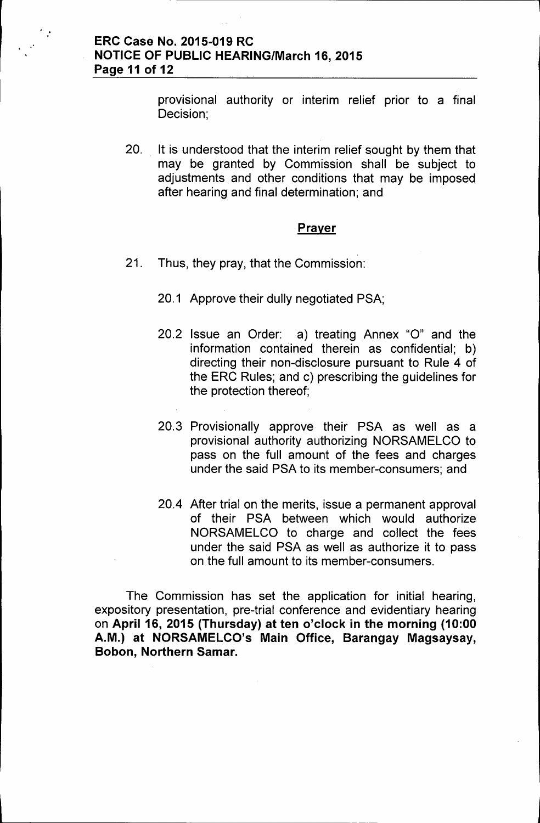provisional authority or interim relief prior to a final Decision;

20. It is understood that the interim relief sought by them that may be granted by Commission shall be subject to adjustments and other conditions that may be imposed after hearing and final determination; and

#### Prayer

- 21. Thus, they pray, that the Commission:
	- 20.1 Approve their dully negotiated PSA;
	- 20.2 Issue an Order: a) treating Annex "0" and the information contained therein as confidential; b) directing their non-disclosure pursuant to Rule 4 of the ERC Rules; and c) prescribing the guidelines for the protection thereof;
	- 20.3 Provisionally approve their PSA as well as a provisional authority authorizing NORSAMELCO to pass on the full amount of the fees and charges under the said PSA to its member-consumers; and
	- 20.4 After trial on the merits, issue a permanent approval of their PSA between which would authorize NORSAMELCO to charge and collect the fees under the said PSA as well as authorize it to pass on the full amount to its member-consumers.

The Commission has set the application for initial hearing, expository presentation, pre-trial conference and evidentiary hearing on April 16, 2015 (Thursday) at ten o'clock in the morning (10:00 A.M.) at NORSAMELCO's Main Office, Barangay Magsaysay, Bobon, Northern Samar.